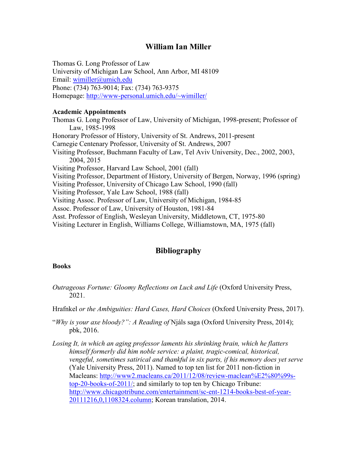# **William Ian Miller**

Thomas G. Long Professor of Law University of Michigan Law School, Ann Arbor, MI 48109 Email: [wimiller@umich.edu](mailto:wimiller@umich.edu) Phone: (734) 763-9014; Fax: (734) 763-9375 Homepage: [http://www-personal.umich.edu/~wimiller/](http://www-personal.umich.edu/%7Ewimiller/)

# **Academic Appointments**

Thomas G. Long Professor of Law, University of Michigan, 1998-present; Professor of Law, 1985-1998 Honorary Professor of History, University of St. Andrews, 2011-present Carnegie Centenary Professor, University of St. Andrews, 2007 Visiting Professor, Buchmann Faculty of Law, Tel Aviv University, Dec., 2002, 2003, 2004, 2015 Visiting Professor, Harvard Law School, 2001 (fall) Visiting Professor, Department of History, University of Bergen, Norway, 1996 (spring) Visiting Professor, University of Chicago Law School, 1990 (fall) Visiting Professor, Yale Law School, 1988 (fall) Visiting Assoc. Professor of Law, University of Michigan, 1984-85 Assoc. Professor of Law, University of Houston, 1981-84 Asst. Professor of English, Wesleyan University, Middletown, CT, 1975-80 Visiting Lecturer in English, Williams College, Williamstown, MA, 1975 (fall)

# **Bibliography**

# **Books**

- *Outrageous Fortune: Gloomy Reflections on Luck and Life* (Oxford University Press, 2021.
- Hrafnkel *or the Ambiguities: Hard Cases, Hard Choices* (Oxford University Press, 2017).
- "*Why is your axe bloody?": A Reading of* Njáls saga (Oxford University Press, 2014); pbk, 2016.
- *Losing It, in which an aging professor laments his shrinking brain, which he flatters himself formerly did him noble service: a plaint, tragic-comical, historical, vengeful, sometimes satirical and thankful in six parts, if his memory does yet serve*  (Yale University Press, 2011). Named to top ten list for 2011 non-fiction in Macleans: [http://www2.macleans.ca/2011/12/08/review-maclean%E2%80%99s](http://www2.macleans.ca/2011/12/08/review-maclean%E2%80%99s-top-20-books-of-2011/)[top-20-books-of-2011/;](http://www2.macleans.ca/2011/12/08/review-maclean%E2%80%99s-top-20-books-of-2011/) and similarly to top ten by Chicago Tribune: [http://www.chicagotribune.com/entertainment/sc-ent-1214-books-best-of-year-](http://www.chicagotribune.com/entertainment/sc-ent-1214-books-best-of-year-20111216,0,1108324.column)[20111216,0,1108324.column;](http://www.chicagotribune.com/entertainment/sc-ent-1214-books-best-of-year-20111216,0,1108324.column) Korean translation, 2014.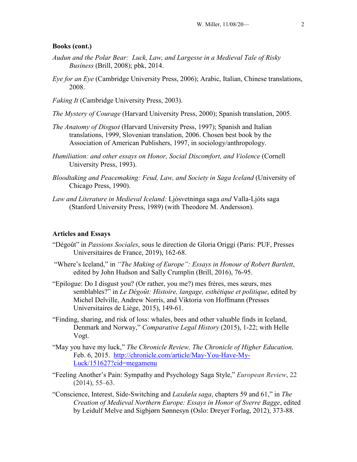#### **Books (cont.)**

- *Audun and the Polar Bear: Luck, Law, and Largesse in a Medieval Tale of Risky Business* (Brill, 2008); pbk, 2014.
- *Eye for an Eye* (Cambridge University Press, 2006); Arabic, Italian, Chinese translations, 2008.
- *Faking It* (Cambridge University Press, 2003).
- *The Mystery of Courage* (Harvard University Press, 2000); Spanish translation, 2005.
- *The Anatomy of Disgust* (Harvard University Press, 1997); Spanish and Italian translations, 1999, Slovenian translation, 2006. Chosen best book by the Association of American Publishers, 1997, in sociology/anthropology.
- *Humiliation: and other essays on Honor, Social Discomfort, and Violence* (Cornell University Press, 1993).
- *Bloodtaking and Peacemaking: Feud, Law, and Society in Saga Iceland* (University of Chicago Press, 1990).
- *Law and Literature in Medieval Iceland:* Ljósvetninga saga *and* Valla-Ljóts saga (Stanford University Press, 1989) (with Theodore M. Andersson).

## **Articles and Essays**

- "Dégoût" in *Passions Sociales*, sous le direction de Gloria Origgi (Paris: PUF, Presses Universitaires de France, 2019), 162-68.
- "Where's Iceland," in *"The Making of Europe": Essays in Honour of Robert Bartlett*, edited by John Hudson and Sally Crumplin (Brill, 2016), 76-95.
- "Epilogue: Do I disgust you? (Or rather, you me?) mes frères, mes sœurs, mes semblables?" in *Le Dégoȗt: Histoire, langage, esthétique et politique*, edited by Michel Delville, Andrew Norris, and Viktoria von Hoffmann (Presses Universitaires de Liège, 2015), 149-61.
- "Finding, sharing, and risk of loss: whales, bees and other valuable finds in Iceland, Denmark and Norway," *Comparative Legal History* (2015), 1-22; with Helle Vogt.
- "May you have my luck," *The Chronicle Review, The Chronicle of Higher Education,*  Feb. 6, 2015. [http://chronicle.com/article/May-You-Have-My-](http://chronicle.com/article/May-You-Have-My-Luck/151627?cid=megamenu)[Luck/151627?cid=megamenu](http://chronicle.com/article/May-You-Have-My-Luck/151627?cid=megamenu)
- "Feeling Another's Pain: Sympathy and Psychology Saga Style," *European Review*, 22 (2014), 55–63.
- "Conscience, Interest, Side-Switching and *Laxdæla saga*, chapters 59 and 61," in *The Creation of Medieval Northern Europe: Essays in Honor of Sverre Bagge*, edited by Leidulf Melve and Sigbjørn Sønnesyn (Oslo: Dreyer Forlag, 2012), 373-88.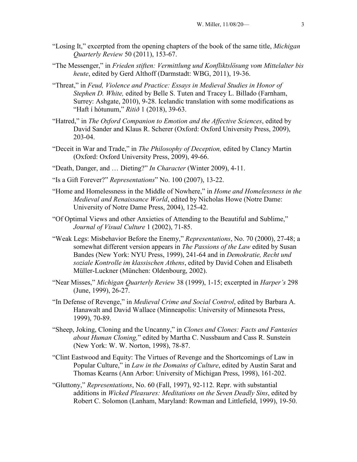- "Losing It," excerpted from the opening chapters of the book of the same title, *Michigan Quarterly Review* 50 (2011), 153-67.
- "The Messenger," in *Frieden stiften: Vermittlung und Konfliktslösung vom Mittelalter bis heute*, edited by Gerd Althoff (Darmstadt: WBG, 2011), 19-36.
- "Threat," in *Feud, Violence and Practice: Essays in Medieval Studies in Honor of Stephen D. White,* edited by Belle S. Tuten and Tracey L. Billado (Farnham, Surrey: Ashgate, 2010), 9-28. Icelandic translation with some modifications as "Haft í hótunum," *Ritið* 1 (2018), 39-63.
- "Hatred," in *The Oxford Companion to Emotion and the Affective Sciences*, edited by David Sander and Klaus R. Scherer (Oxford: Oxford University Press, 2009), 203-04.
- "Deceit in War and Trade," in *The Philosophy of Deception,* edited by Clancy Martin (Oxford: Oxford University Press, 2009), 49-66.
- "Death, Danger, and … Dieting?" *In Character* (Winter 2009), 4-11.
- "Is a Gift Forever?" *Representations*" No. 100 (2007), 13-22.
- "Home and Homelessness in the Middle of Nowhere," in *Home and Homelessness in the Medieval and Renaissance World*, edited by Nicholas Howe (Notre Dame: University of Notre Dame Press, 2004), 125-42.
- "Of Optimal Views and other Anxieties of Attending to the Beautiful and Sublime," *Journal of Visual Culture* 1 (2002), 71-85.
- "Weak Legs: Misbehavior Before the Enemy," *Representations*, No. 70 (2000), 27-48; a somewhat different version appears in *The Passions of the Law* edited by Susan Bandes (New York: NYU Press, 1999), 241-64 and in *Demokratie, Recht und soziale Kontrolle im klassischen Athens*, edited by David Cohen and Elisabeth Müller-Luckner (München: Oldenbourg, 2002).
- "Near Misses," *Michigan Quarterly Review* 38 (1999), 1-15; excerpted in *Harper's* 298 (June, 1999), 26-27.
- "In Defense of Revenge," in *Medieval Crime and Social Control*, edited by Barbara A. Hanawalt and David Wallace (Minneapolis: University of Minnesota Press, 1999), 70-89.
- "Sheep, Joking, Cloning and the Uncanny," in *Clones and Clones: Facts and Fantasies about Human Cloning,*" edited by Martha C. Nussbaum and Cass R. Sunstein (New York: W. W. Norton, 1998), 78-87.
- "Clint Eastwood and Equity: The Virtues of Revenge and the Shortcomings of Law in Popular Culture," in *Law in the Domains of Culture*, edited by Austin Sarat and Thomas Kearns (Ann Arbor: University of Michigan Press, 1998), 161-202.
- "Gluttony," *Representations*, No. 60 (Fall, 1997), 92-112. Repr. with substantial additions in *Wicked Pleasures: Meditations on the Seven Deadly Sins*, edited by Robert C. Solomon (Lanham, Maryland: Rowman and Littlefield, 1999), 19-50.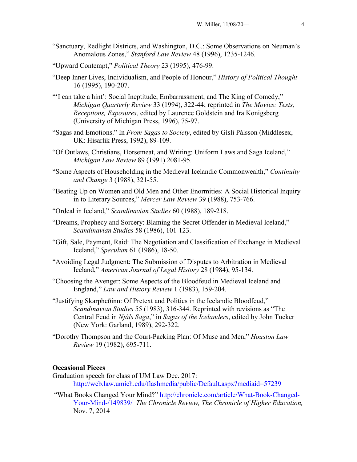- "Sanctuary, Redlight Districts, and Washington, D.C.: Some Observations on Neuman's Anomalous Zones," *Stanford Law Review* 48 (1996), 1235-1246.
- "Upward Contempt," *Political Theory* 23 (1995), 476-99.
- "Deep Inner Lives, Individualism, and People of Honour," *History of Political Thought* 16 (1995), 190-207.
- "'I can take a hint': Social Ineptitude, Embarrassment, and The King of Comedy," *Michigan Quarterly Review* 33 (1994), 322-44; reprinted in *The Movies: Tests, Receptions, Exposures,* edited by Laurence Goldstein and Ira Konigsberg (University of Michigan Press, 1996), 75-97.
- "Sagas and Emotions." In *From Sagas to Society*, edited by Gísli Pálsson (Middlesex, UK: Hisarlik Press, 1992), 89-109.
- "Of Outlaws, Christians, Horsemeat, and Writing: Uniform Laws and Saga Iceland," *Michigan Law Review* 89 (1991) 2081-95.
- "Some Aspects of Householding in the Medieval Icelandic Commonwealth," *Continuity and Change* 3 (1988), 321-55.
- "Beating Up on Women and Old Men and Other Enormities: A Social Historical Inquiry in to Literary Sources," *Mercer Law Review* 39 (1988), 753-766.
- "Ordeal in Iceland," *Scandinavian Studies* 60 (1988), 189-218.
- "Dreams, Prophecy and Sorcery: Blaming the Secret Offender in Medieval Iceland," *Scandinavian Studies* 58 (1986), 101-123.
- "Gift, Sale, Payment, Raid: The Negotiation and Classification of Exchange in Medieval Iceland," *Speculum* 61 (1986), 18-50.
- "Avoiding Legal Judgment: The Submission of Disputes to Arbitration in Medieval Iceland," *American Journal of Legal History* 28 (1984), 95-134.
- "Choosing the Avenger: Some Aspects of the Bloodfeud in Medieval Iceland and England," *Law and History Review* 1 (1983), 159-204.
- "Justifying Skarpheðinn: Of Pretext and Politics in the Icelandic Bloodfeud," *Scandinavian Studies* 55 (1983), 316-344. Reprinted with revisions as "The Central Feud in *Njáls Saga*," in *Sagas of the Icelanders*, edited by John Tucker (New York: Garland, 1989), 292-322.
- "Dorothy Thompson and the Court-Packing Plan: Of Muse and Men," *Houston Law Review* 19 (1982), 695-711.

# **Occasional Pieces**

- Graduation speech for class of UM Law Dec. 2017: <http://web.law.umich.edu/flashmedia/public/Default.aspx?mediaid=57239>
- "What Books Changed Your Mind?" [http://chronicle.com/article/What-Book-Changed-](http://chronicle.com/article/What-Book-Changed-Your-Mind-/149839/)[Your-Mind-/149839/](http://chronicle.com/article/What-Book-Changed-Your-Mind-/149839/) *The Chronicle Review, The Chronicle of Higher Education,*  Nov. 7, 2014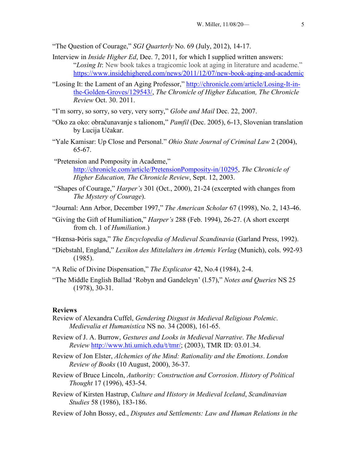- "The Question of Courage," *SGI Quarterly* No. 69 (July, 2012), 14-17.
- Interview in *Inside Higher Ed*, Dee. 7, 2011, for which I supplied written answers: "*Losing It*: New book takes a tragicomic look at aging in literature and academe." <https://www.insidehighered.com/news/2011/12/07/new-book-aging-and-academic>
- "Losing It: the Lament of an Aging Professor," [http://chronicle.com/article/Losing-It-in](http://chronicle.com/article/Losing-It-in-the-Golden-Groves/129543/)[the-Golden-Groves/129543/,](http://chronicle.com/article/Losing-It-in-the-Golden-Groves/129543/) *The Chronicle of Higher Education, The Chronicle Review* Oct. 30. 2011.
- "I'm sorry, so sorry, so very, very sorry," *Globe and Mail* Dec. 22, 2007.
- "Oko za oko: obračunavanje s talionom," *Pamfil* (Dec. 2005), 6-13, Slovenian translation by Lucija Učakar.
- "Yale Kamisar: Up Close and Personal." *Ohio State Journal of Criminal Law* 2 (2004), 65-67.
- "Pretension and Pomposity in Academe," [http://chronicle.com/article/PretensionPomposity-in/10295,](http://chronicle.com/article/PretensionPomposity-in/10295) *The Chronicle of Higher Education, The Chronicle Review*, Sept. 12, 2003.
- "Shapes of Courage," *Harper's* 301 (Oct., 2000), 21-24 (excerpted with changes from *The Mystery of Courage*).
- "Journal: Ann Arbor, December 1997," *The American Scholar* 67 (1998), No. 2, 143-46.
- "Giving the Gift of Humiliation," *Harper's* 288 (Feb. 1994), 26-27. (A short excerpt from ch. 1 of *Humiliation*.)
- "Hœnsa-Þóris saga," *The Encyclopedia of Medieval Scandinavia* (Garland Press, 1992).
- "Diebstahl, England," *Lexikon des Mittelalters im Artemis Verlag* (Munich), cols. 992-93 (1985).
- "A Relic of Divine Dispensation," *The Explicator* 42, No.4 (1984), 2-4.
- "The Middle English Ballad 'Robyn and Gandeleyn' (l.57)," *Notes and Queries* NS 25 (1978), 30-31.

#### **Reviews**

- Review of Alexandra Cuffel, *Gendering Disgust in Medieval Religious Polemic*. *Medievalia et Humanistica* NS no. 34 (2008), 161-65.
- Review of J. A. Burrow, *Gestures and Looks in Medieval Narrative*. *The Medieval Review* [http://www.hti.umich.edu/t/tmr/;](http://www.hti.umich.edu/t/tmr/) (2003), TMR ID: 03.01.34.
- Review of Jon Elster, *Alchemies of the Mind: Rationality and the Emotions*. *London Review of Books* (10 August, 2000), 36-37.
- Review of Bruce Lincoln, *Authority: Construction and Corrosion*. *History of Political Thought* 17 (1996), 453-54.
- Review of Kirsten Hastrup, *Culture and History in Medieval Iceland*, *Scandinavian Studies* 58 (1986), 183-186.
- Review of John Bossy, ed., *Disputes and Settlements: Law and Human Relations in the*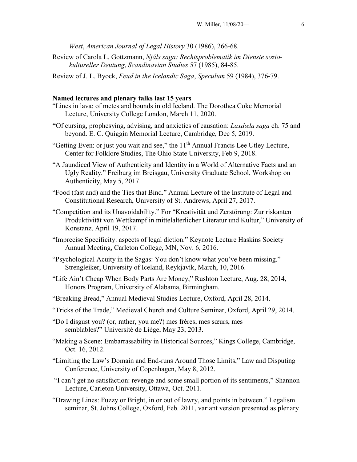*West*, *American Journal of Legal History* 30 (1986), 266-68.

Review of Carola L. Gottzmann, *Njáls saga: Rechtsproblematik im Dienste soziokultureller Deutung*, *Scandinavian Studies* 57 (1985), 84-85.

Review of J. L. Byock, *Feud in the Icelandic Saga*, *Speculum* 59 (1984), 376-79.

#### **Named lectures and plenary talks last 15 years**

- "Lines in lava: of metes and bounds in old Iceland. The Dorothea Coke Memorial Lecture, University College London, March 11, 2020.
- **"**Of cursing, prophesying, advising, and anxieties of causation: *Laxdæla saga* ch. 75 and beyond. E. C. Quiggin Memorial Lecture, Cambridge, Dec 5, 2019.
- "Getting Even: or just you wait and see," the  $11<sup>th</sup>$  Annual Francis Lee Utley Lecture, Center for Folklore Studies, The Ohio State University, Feb 9, 2018.
- "A Jaundiced View of Authenticity and Identity in a World of Alternative Facts and an Ugly Reality." Freiburg im Breisgau, University Graduate School, Workshop on Authenticity, May 5, 2017.
- "Food (fast and) and the Ties that Bind." Annual Lecture of the Institute of Legal and Constitutional Research, University of St. Andrews, April 27, 2017.
- "Competition and its Unavoidability." For "Kreativität und Zerstörung: Zur riskanten Produktivität von Wettkampf in mittelalterlicher Literatur und Kultur," University of Konstanz, April 19, 2017.
- "Imprecise Specificity: aspects of legal diction." Keynote Lecture Haskins Society Annual Meeting, Carleton College, MN, Nov. 6, 2016.
- "Psychological Acuity in the Sagas: You don't know what you've been missing." Strengleiker, University of Iceland, Reykjavík, March, 10, 2016.
- "Life Ain't Cheap When Body Parts Are Money," Rushton Lecture, Aug. 28, 2014, Honors Program, University of Alabama, Birmingham.
- "Breaking Bread," Annual Medieval Studies Lecture, Oxford, April 28, 2014.
- "Tricks of the Trade," Medieval Church and Culture Seminar, Oxford, April 29, 2014.
- "Do I disgust you? (or, rather, you me?) mes frères, mes sœurs, mes semblables?" Université de Liège, May 23, 2013.
- "Making a Scene: Embarrassability in Historical Sources," Kings College, Cambridge, Oct. 16, 2012.
- "Limiting the Law's Domain and End-runs Around Those Limits," Law and Disputing Conference, University of Copenhagen, May 8, 2012.
- "I can't get no satisfaction: revenge and some small portion of its sentiments," Shannon Lecture, Carleton University, Ottawa, Oct. 2011.
- "Drawing Lines: Fuzzy or Bright, in or out of lawry, and points in between." Legalism seminar, St. Johns College, Oxford, Feb. 2011, variant version presented as plenary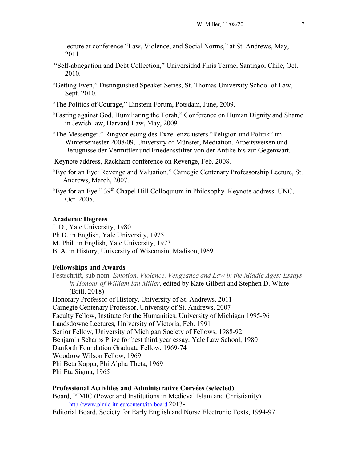lecture at conference "Law, Violence, and Social Norms," at St. Andrews, May, 2011.

- "Self-abnegation and Debt Collection," Universidad Finis Terrae, Santiago, Chile, Oct. 2010.
- "Getting Even," Distinguished Speaker Series, St. Thomas University School of Law, Sept. 2010.
- "The Politics of Courage," Einstein Forum, Potsdam, June, 2009.
- "Fasting against God, Humiliating the Torah," Conference on Human Dignity and Shame in Jewish law, Harvard Law, May, 2009.
- "The Messenger." Ringvorlesung des Exzellenzclusters "Religion und Politik" im Wintersemester 2008/09, University of Münster, Mediation. Arbeitsweisen und Befugnisse der Vermittler und Friedensstifter von der Antike bis zur Gegenwart.

Keynote address, Rackham conference on Revenge, Feb. 2008.

- "Eye for an Eye: Revenge and Valuation." Carnegie Centenary Professorship Lecture, St. Andrews, March, 2007.
- "Eye for an Eye." 39th Chapel Hill Colloquium in Philosophy. Keynote address. UNC, Oct. 2005.

## **Academic Degrees**

J. D., Yale University, 1980 Ph.D. in English, Yale University, 1975 M. Phil. in English, Yale University, 1973 B. A. in History, University of Wisconsin, Madison, l969

# **Fellowships and Awards**

Festschrift, sub nom. *Emotion, Violence, Vengeance and Law in the Middle Ages: Essays in Honour of William Ian Miller*, edited by Kate Gilbert and Stephen D. White (Brill, 2018) Honorary Professor of History, University of St. Andrews, 2011-

Carnegie Centenary Professor, University of St. Andrews, 2007 Faculty Fellow, Institute for the Humanities, University of Michigan 1995-96 Landsdowne Lectures, University of Victoria, Feb. 1991 Senior Fellow, University of Michigan Society of Fellows, 1988-92 Benjamin Scharps Prize for best third year essay, Yale Law School, 1980 Danforth Foundation Graduate Fellow, 1969-74 Woodrow Wilson Fellow, 1969 Phi Beta Kappa, Phi Alpha Theta, 1969 Phi Eta Sigma, 1965

#### **Professional Activities and Administrative Corvées (selected)**

Board, PIMIC (Power and Institutions in Medieval Islam and Christianity) <http://www.pimic-itn.eu/content/itn-board> 2013-

Editorial Board, Society for Early English and Norse Electronic Texts, 1994-97